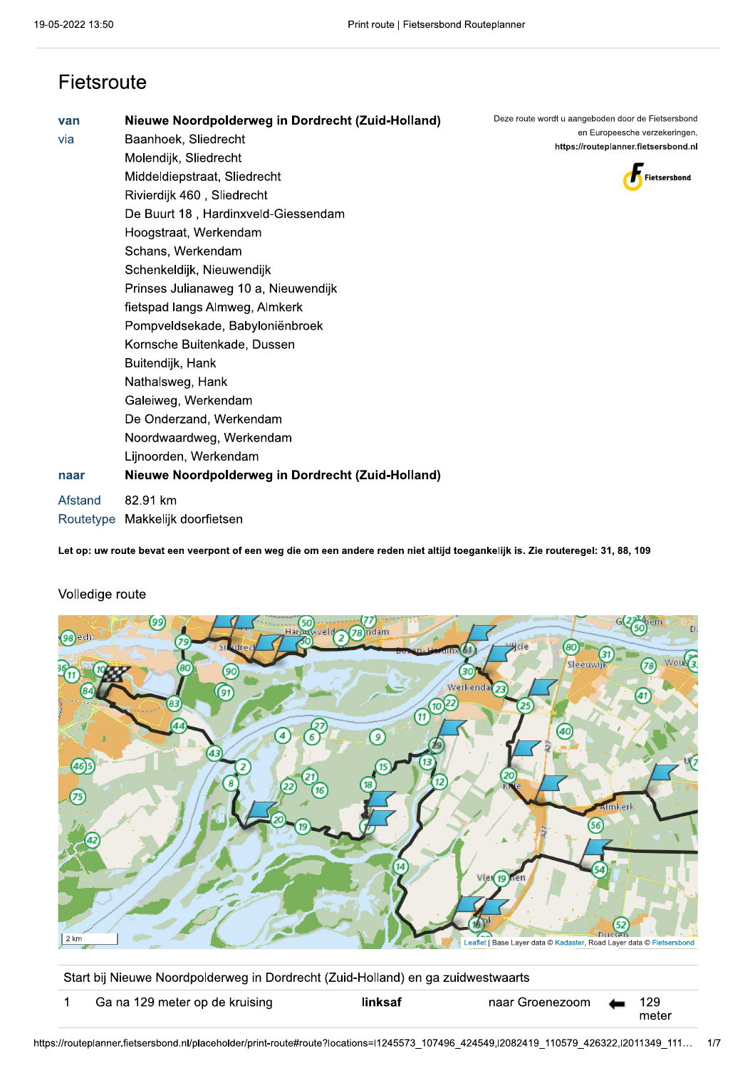### Fietsroute

| van       | Nieuwe Noordpolderweg in Dordrecht (Zuid-Holland) | Deze route wordt u aangeboden door de Fietsersbond |
|-----------|---------------------------------------------------|----------------------------------------------------|
| via       | Baanhoek, Sliedrecht                              | en Europeesche verzekeringen.                      |
|           | Molendijk, Sliedrecht                             | https://routeplanner.fietsersbond.nl               |
|           | Middeldiepstraat, Sliedrecht                      | Fietsersbond                                       |
|           | Rivierdijk 460, Sliedrecht                        |                                                    |
|           | De Buurt 18, Hardinxveld-Giessendam               |                                                    |
|           | Hoogstraat, Werkendam                             |                                                    |
|           | Schans, Werkendam                                 |                                                    |
|           | Schenkeldijk, Nieuwendijk                         |                                                    |
|           | Prinses Julianaweg 10 a, Nieuwendijk              |                                                    |
|           | fietspad langs Almweg, Almkerk                    |                                                    |
|           | Pompveldsekade, Babyloniënbroek                   |                                                    |
|           | Kornsche Buitenkade, Dussen                       |                                                    |
|           | Buitendijk, Hank                                  |                                                    |
|           | Nathalsweg, Hank                                  |                                                    |
|           | Galeiweg, Werkendam                               |                                                    |
|           | De Onderzand, Werkendam                           |                                                    |
|           | Noordwaardweg, Werkendam                          |                                                    |
|           | Lijnoorden, Werkendam                             |                                                    |
| naar      | Nieuwe Noordpolderweg in Dordrecht (Zuid-Holland) |                                                    |
| Afstand   | 82.91 km                                          |                                                    |
| Routetype | Makkelijk doorfietsen                             |                                                    |

Let op: uw route bevat een veerpont of een weg die om een andere reden niet altijd toegankelijk is. Zie routeregel: 31, 88, 109



### Volledige route

Start bij Nieuwe Noordpolderweg in Dordrecht (Zuid-Holland) en ga zuidwestwaarts

| Ga na 129 meter op de kruising | linksaf | naar Groenezoom (129 |       |
|--------------------------------|---------|----------------------|-------|
|                                |         |                      | meter |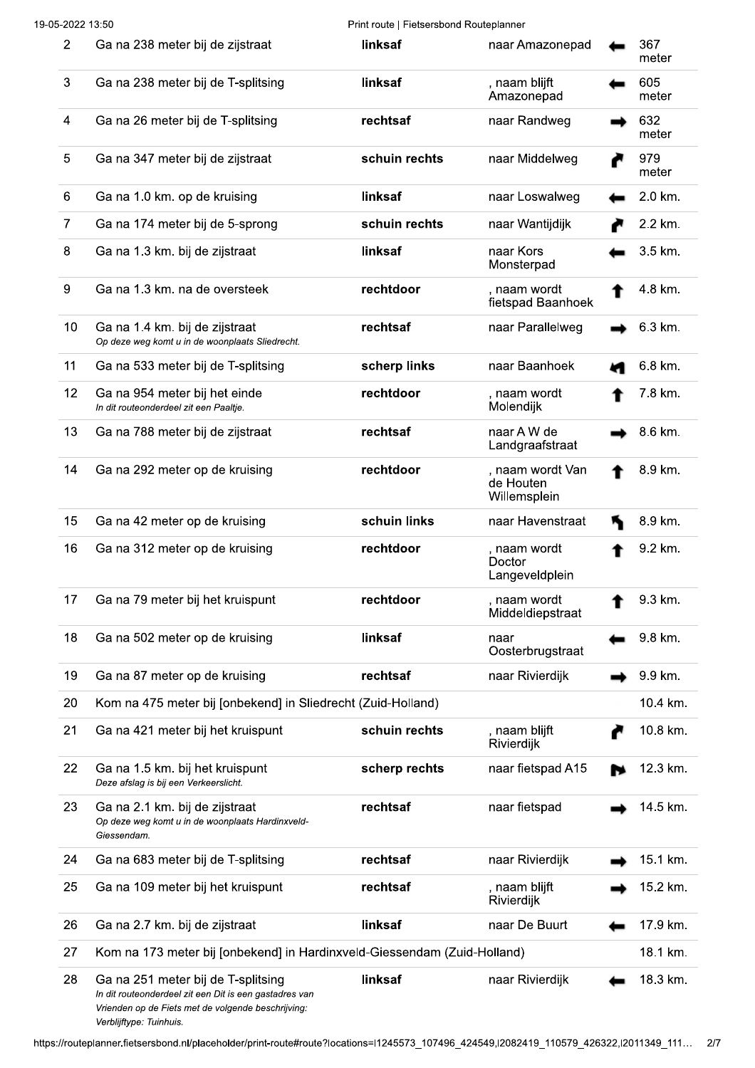| $\overline{2}$ | Ga na 238 meter bij de zijstraat                                                                                                                                              | linksaf       | naar Amazonepad                               | 367<br>meter |
|----------------|-------------------------------------------------------------------------------------------------------------------------------------------------------------------------------|---------------|-----------------------------------------------|--------------|
| 3              | Ga na 238 meter bij de T-splitsing                                                                                                                                            | linksaf       | , naam blijft<br>Amazonepad                   | 605<br>meter |
| 4              | Ga na 26 meter bij de T-splitsing                                                                                                                                             | rechtsaf      | naar Randweg                                  | 632<br>meter |
| 5              | Ga na 347 meter bij de zijstraat                                                                                                                                              | schuin rechts | naar Middelweg                                | 979<br>meter |
| 6              | Ga na 1.0 km. op de kruising                                                                                                                                                  | linksaf       | naar Loswalweg                                | 2.0 km.      |
| 7              | Ga na 174 meter bij de 5-sprong                                                                                                                                               | schuin rechts | naar Wantijdijk                               | 2.2 km.      |
| 8              | Ga na 1.3 km. bij de zijstraat                                                                                                                                                | linksaf       | naar Kors<br>Monsterpad                       | 3.5 km.      |
| 9              | Ga na 1.3 km. na de oversteek                                                                                                                                                 | rechtdoor     | , naam wordt<br>fietspad Baanhoek             | 4.8 km.      |
| 10             | Ga na 1.4 km. bij de zijstraat<br>Op deze weg komt u in de woonplaats Sliedrecht.                                                                                             | rechtsaf      | naar Parallelweg                              | 6.3 km.      |
| 11             | Ga na 533 meter bij de T-splitsing                                                                                                                                            | scherp links  | naar Baanhoek                                 | 6.8 km.      |
| 12             | Ga na 954 meter bij het einde<br>In dit routeonderdeel zit een Paaltje.                                                                                                       | rechtdoor     | , naam wordt<br>Molendijk                     | 7.8 km.      |
| 13             | Ga na 788 meter bij de zijstraat                                                                                                                                              | rechtsaf      | naar A W de<br>Landgraafstraat                | 8.6 km.      |
| 14             | Ga na 292 meter op de kruising                                                                                                                                                | rechtdoor     | , naam wordt Van<br>de Houten<br>Willemsplein | 8.9 km.      |
| 15             | Ga na 42 meter op de kruising                                                                                                                                                 | schuin links  | naar Havenstraat                              | 8.9 km.      |
| 16             | Ga na 312 meter op de kruising                                                                                                                                                | rechtdoor     | , naam wordt<br>Doctor<br>Langeveldplein      | 9.2 km.      |
| 17             | Ga na 79 meter bij het kruispunt                                                                                                                                              | rechtdoor     | , naam wordt<br>Middeldiepstraat              | 9.3 km.      |
| 18             | Ga na 502 meter op de kruising                                                                                                                                                | linksaf       | naar<br>Oosterbrugstraat                      | 9.8 km.      |
| 19             | Ga na 87 meter op de kruising                                                                                                                                                 | rechtsaf      | naar Rivierdijk                               | 9.9 km.      |
| 20             | Kom na 475 meter bij [onbekend] in Sliedrecht (Zuid-Holland)                                                                                                                  |               |                                               | 10.4 km.     |
| 21             | Ga na 421 meter bij het kruispunt                                                                                                                                             | schuin rechts | , naam blijft<br>Rivierdijk                   | 10.8 km.     |
| 22             | Ga na 1.5 km. bij het kruispunt<br>Deze afslag is bij een Verkeerslicht.                                                                                                      | scherp rechts | naar fietspad A15                             | 12.3 km.     |
| 23             | Ga na 2.1 km. bij de zijstraat<br>Op deze weg komt u in de woonplaats Hardinxveld-<br>Giessendam.                                                                             | rechtsaf      | naar fietspad                                 | 14.5 km.     |
| 24             | Ga na 683 meter bij de T-splitsing                                                                                                                                            | rechtsaf      | naar Rivierdijk                               | 15.1 km.     |
| 25             | Ga na 109 meter bij het kruispunt                                                                                                                                             | rechtsaf      | , naam blijft<br>Rivierdijk                   | 15.2 km.     |
| 26             | Ga na 2.7 km. bij de zijstraat                                                                                                                                                | linksaf       | naar De Buurt                                 | 17.9 km.     |
| 27             | Kom na 173 meter bij [onbekend] in Hardinxveld-Giessendam (Zuid-Holland)                                                                                                      |               |                                               | 18.1 km.     |
| 28             | Ga na 251 meter bij de T-splitsing<br>In dit routeonderdeel zit een Dit is een gastadres van<br>Vrienden op de Fiets met de volgende beschrijving:<br>Verblijftype: Tuinhuis. | linksaf       | naar Rivierdijk                               | 18.3 km.     |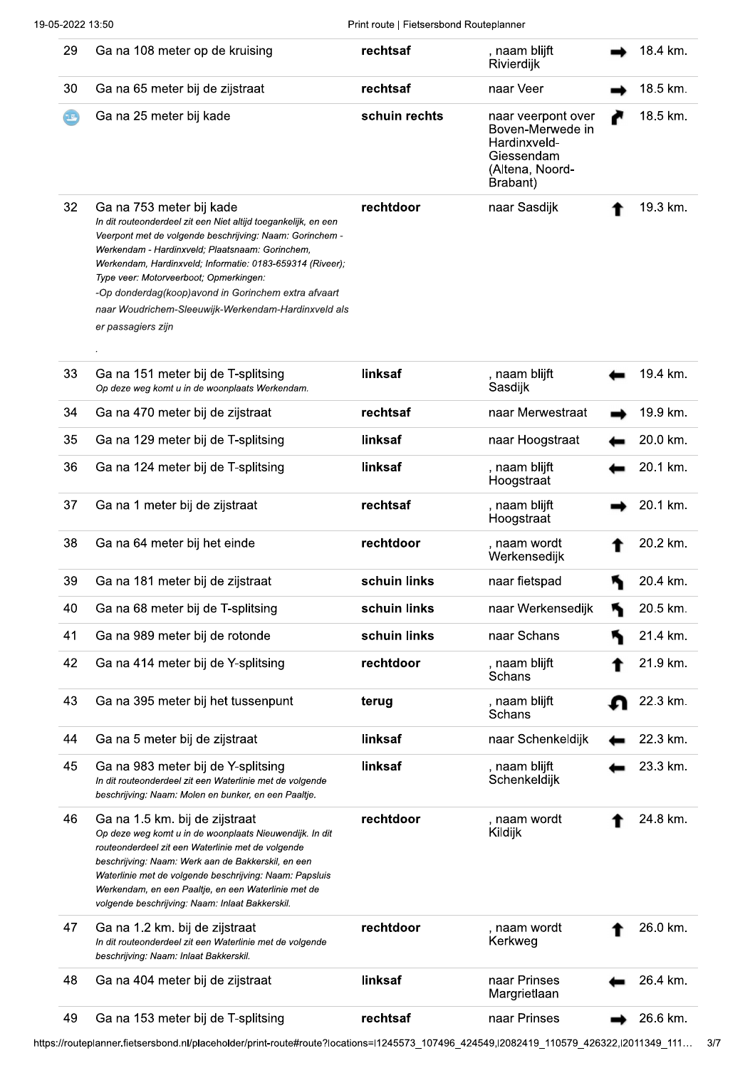| 29                         | Ga na 108 meter op de kruising                                                                                                                                                                                                                                                                                                                                                                                                                       | rechtsaf      | , naam blijft<br>Rivierdijk                                                                         | 18.4 km. |
|----------------------------|------------------------------------------------------------------------------------------------------------------------------------------------------------------------------------------------------------------------------------------------------------------------------------------------------------------------------------------------------------------------------------------------------------------------------------------------------|---------------|-----------------------------------------------------------------------------------------------------|----------|
| 30                         | Ga na 65 meter bij de zijstraat                                                                                                                                                                                                                                                                                                                                                                                                                      | rechtsaf      | naar Veer                                                                                           | 18.5 km. |
| $\left( 1, \ldots \right)$ | Ga na 25 meter bij kade                                                                                                                                                                                                                                                                                                                                                                                                                              | schuin rechts | naar veerpont over<br>Boven-Merwede in<br>Hardinxveld-<br>Giessendam<br>(Altena, Noord-<br>Brabant) | 18.5 km. |
| 32                         | Ga na 753 meter bij kade<br>In dit routeonderdeel zit een Niet altijd toegankelijk, en een<br>Veerpont met de volgende beschrijving: Naam: Gorinchem -<br>Werkendam - Hardinxveld; Plaatsnaam: Gorinchem,<br>Werkendam, Hardinxveld; Informatie: 0183-659314 (Riveer);<br>Type veer: Motorveerboot; Opmerkingen:<br>-Op donderdag(koop)avond in Gorinchem extra afvaart<br>naar Woudrichem-Sleeuwijk-Werkendam-Hardinxveld als<br>er passagiers zijn | rechtdoor     | naar Sasdijk                                                                                        | 19.3 km. |
| 33                         | Ga na 151 meter bij de T-splitsing<br>Op deze weg komt u in de woonplaats Werkendam.                                                                                                                                                                                                                                                                                                                                                                 | linksaf       | , naam blijft<br>Sasdijk                                                                            | 19.4 km. |
| 34                         | Ga na 470 meter bij de zijstraat                                                                                                                                                                                                                                                                                                                                                                                                                     | rechtsaf      | naar Merwestraat                                                                                    | 19.9 km. |
| 35                         | Ga na 129 meter bij de T-splitsing                                                                                                                                                                                                                                                                                                                                                                                                                   | linksaf       | naar Hoogstraat                                                                                     | 20.0 km. |
| 36                         | Ga na 124 meter bij de T-splitsing                                                                                                                                                                                                                                                                                                                                                                                                                   | linksaf       | , naam blijft<br>Hoogstraat                                                                         | 20.1 km. |
| 37                         | Ga na 1 meter bij de zijstraat                                                                                                                                                                                                                                                                                                                                                                                                                       | rechtsaf      | , naam blijft<br>Hoogstraat                                                                         | 20.1 km. |
| 38                         | Ga na 64 meter bij het einde                                                                                                                                                                                                                                                                                                                                                                                                                         | rechtdoor     | , naam wordt<br>Werkensedijk                                                                        | 20.2 km. |
| 39                         | Ga na 181 meter bij de zijstraat                                                                                                                                                                                                                                                                                                                                                                                                                     | schuin links  | naar fietspad                                                                                       | 20.4 km. |
| 40                         | Ga na 68 meter bij de T-splitsing                                                                                                                                                                                                                                                                                                                                                                                                                    | schuin links  | naar Werkensedijk                                                                                   | 20.5 km. |
| 41                         | Ga na 989 meter bij de rotonde                                                                                                                                                                                                                                                                                                                                                                                                                       | schuin links  | naar Schans                                                                                         | 21.4 km. |
| 42                         | Ga na 414 meter bij de Y-splitsing                                                                                                                                                                                                                                                                                                                                                                                                                   | rechtdoor     | , naam blijft<br>Schans                                                                             | 21.9 km. |
| 43                         | Ga na 395 meter bij het tussenpunt                                                                                                                                                                                                                                                                                                                                                                                                                   | terug         | , naam blijft<br>Schans                                                                             | 22.3 km. |
| 44                         | Ga na 5 meter bij de zijstraat                                                                                                                                                                                                                                                                                                                                                                                                                       | linksaf       | naar Schenkeldijk                                                                                   | 22.3 km. |
| 45                         | Ga na 983 meter bij de Y-splitsing<br>In dit routeonderdeel zit een Waterlinie met de volgende<br>beschrijving: Naam: Molen en bunker, en een Paaltje.                                                                                                                                                                                                                                                                                               | linksaf       | , naam blijft<br>Schenkeldijk                                                                       | 23.3 km. |
| 46                         | Ga na 1.5 km. bij de zijstraat<br>Op deze weg komt u in de woonplaats Nieuwendijk. In dit<br>routeonderdeel zit een Waterlinie met de volgende<br>beschrijving: Naam: Werk aan de Bakkerskil, en een<br>Waterlinie met de volgende beschrijving: Naam: Papsluis<br>Werkendam, en een Paaltje, en een Waterlinie met de<br>volgende beschrijving: Naam: Inlaat Bakkerskil.                                                                            | rechtdoor     | , naam wordt<br>Kildijk                                                                             | 24.8 km. |
| 47                         | Ga na 1.2 km. bij de zijstraat<br>In dit routeonderdeel zit een Waterlinie met de volgende<br>beschrijving: Naam: Inlaat Bakkerskil.                                                                                                                                                                                                                                                                                                                 | rechtdoor     | , naam wordt<br>Kerkweg                                                                             | 26.0 km. |
| 48                         | Ga na 404 meter bij de zijstraat                                                                                                                                                                                                                                                                                                                                                                                                                     | linksaf       | naar Prinses<br>Margrietlaan                                                                        | 26.4 km. |
| 49                         | Ga na 153 meter bij de T-splitsing                                                                                                                                                                                                                                                                                                                                                                                                                   | rechtsaf      | naar Prinses                                                                                        | 26.6 km. |

https://routeplanner.fietsersbond.nl/placeholder/print-route#route?locations=l1245573\_107496\_424549,I2082419\_110579\_426322,I2011349\_111... 3/7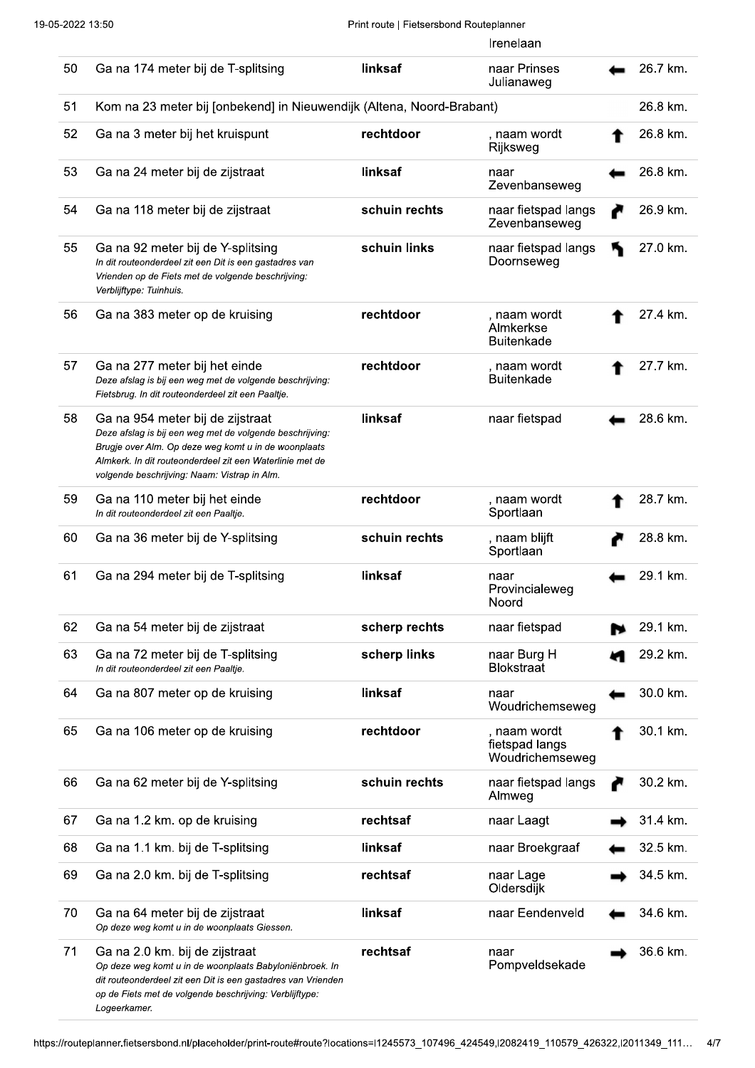|    |                                                                                                                                                                                                                                                                  |               | Irenelaan                                         |          |
|----|------------------------------------------------------------------------------------------------------------------------------------------------------------------------------------------------------------------------------------------------------------------|---------------|---------------------------------------------------|----------|
| 50 | Ga na 174 meter bij de T-splitsing                                                                                                                                                                                                                               | linksaf       | naar Prinses<br>Julianaweg                        | 26.7 km. |
| 51 | Kom na 23 meter bij [onbekend] in Nieuwendijk (Altena, Noord-Brabant)                                                                                                                                                                                            |               |                                                   | 26.8 km. |
| 52 | Ga na 3 meter bij het kruispunt                                                                                                                                                                                                                                  | rechtdoor     | , naam wordt<br>Rijksweg                          | 26.8 km. |
| 53 | Ga na 24 meter bij de zijstraat                                                                                                                                                                                                                                  | linksaf       | naar<br>Zevenbanseweg                             | 26.8 km. |
| 54 | Ga na 118 meter bij de zijstraat                                                                                                                                                                                                                                 | schuin rechts | naar fietspad langs<br>Zevenbanseweg              | 26.9 km. |
| 55 | Ga na 92 meter bij de Y-splitsing<br>In dit routeonderdeel zit een Dit is een gastadres van<br>Vrienden op de Fiets met de volgende beschrijving:<br>Verblijftype: Tuinhuis.                                                                                     | schuin links  | naar fietspad langs<br>Doornseweg                 | 27.0 km. |
| 56 | Ga na 383 meter op de kruising                                                                                                                                                                                                                                   | rechtdoor     | , naam wordt<br>Almkerkse<br><b>Buitenkade</b>    | 27.4 km. |
| 57 | Ga na 277 meter bij het einde<br>Deze afslag is bij een weg met de volgende beschrijving:<br>Fietsbrug. In dit routeonderdeel zit een Paaltje.                                                                                                                   | rechtdoor     | , naam wordt<br><b>Buitenkade</b>                 | 27.7 km. |
| 58 | Ga na 954 meter bij de zijstraat<br>Deze afslag is bij een weg met de volgende beschrijving:<br>Brugje over Alm. Op deze weg komt u in de woonplaats<br>Almkerk. In dit routeonderdeel zit een Waterlinie met de<br>volgende beschrijving: Naam: Vistrap in Alm. | linksaf       | naar fietspad                                     | 28.6 km. |
| 59 | Ga na 110 meter bij het einde<br>In dit routeonderdeel zit een Paaltje.                                                                                                                                                                                          | rechtdoor     | , naam wordt<br>Sportlaan                         | 28.7 km. |
| 60 | Ga na 36 meter bij de Y-splitsing                                                                                                                                                                                                                                | schuin rechts | , naam blijft<br>Sportlaan                        | 28.8 km. |
| 61 | Ga na 294 meter bij de T-splitsing                                                                                                                                                                                                                               | linksaf       | naar<br>Provincialeweg<br>Noord                   | 29.1 km. |
| 62 | Ga na 54 meter bij de zijstraat                                                                                                                                                                                                                                  | scherp rechts | naar fietspad                                     | 29.1 km. |
| 63 | Ga na 72 meter bij de T-splitsing<br>In dit routeonderdeel zit een Paaltje.                                                                                                                                                                                      | scherp links  | naar Burg H<br><b>Blokstraat</b>                  | 29.2 km. |
| 64 | Ga na 807 meter op de kruising                                                                                                                                                                                                                                   | linksaf       | naar<br>Woudrichemseweg                           | 30.0 km. |
| 65 | Ga na 106 meter op de kruising                                                                                                                                                                                                                                   | rechtdoor     | , naam wordt<br>fietspad langs<br>Woudrichemseweg | 30.1 km. |
| 66 | Ga na 62 meter bij de Y-splitsing                                                                                                                                                                                                                                | schuin rechts | naar fietspad langs<br>Almweg                     | 30.2 km. |
| 67 | Ga na 1.2 km. op de kruising                                                                                                                                                                                                                                     | rechtsaf      | naar Laagt                                        | 31.4 km. |
| 68 | Ga na 1.1 km. bij de T-splitsing                                                                                                                                                                                                                                 | linksaf       | naar Broekgraaf                                   | 32.5 km. |
| 69 | Ga na 2.0 km. bij de T-splitsing                                                                                                                                                                                                                                 | rechtsaf      | naar Lage<br>Oldersdijk                           | 34.5 km. |
| 70 | Ga na 64 meter bij de zijstraat<br>Op deze weg komt u in de woonplaats Giessen.                                                                                                                                                                                  | linksaf       | naar Eendenveld                                   | 34.6 km. |
| 71 | Ga na 2.0 km. bij de zijstraat<br>Op deze weg komt u in de woonplaats Babyloniënbroek. In<br>dit routeonderdeel zit een Dit is een gastadres van Vrienden<br>op de Fiets met de volgende beschrijving: Verblijftype:<br>Logeerkamer.                             | rechtsaf      | naar<br>Pompveldsekade                            | 36.6 km. |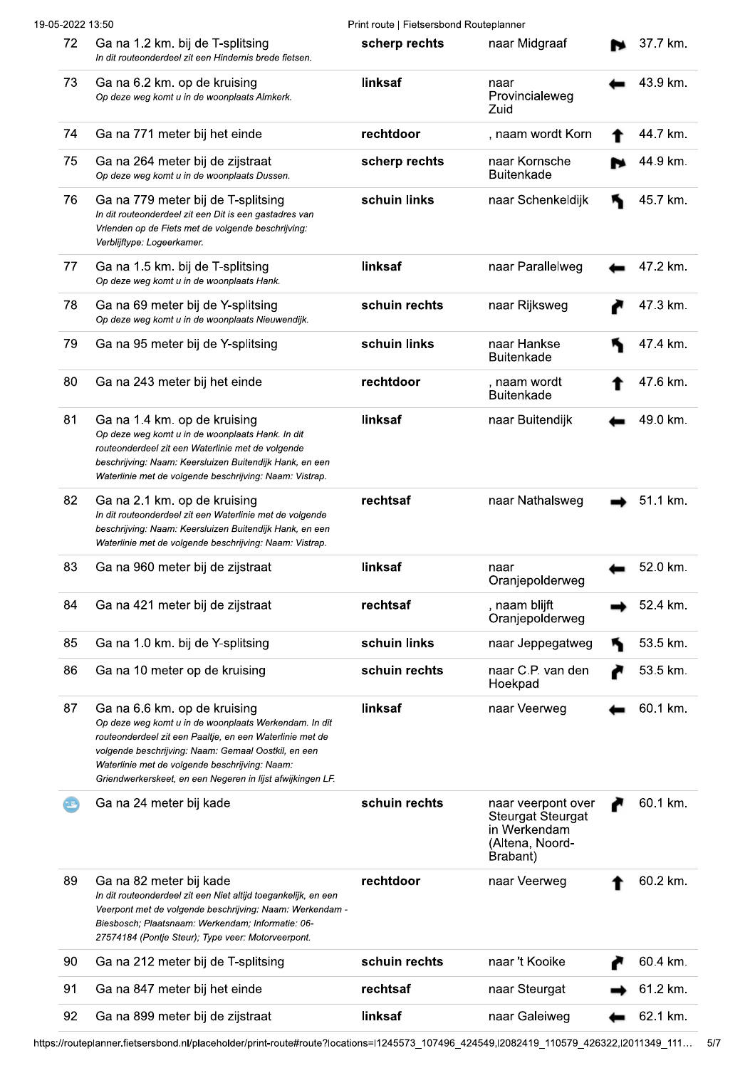|    | 19-05-2022 13:50                                                                                                                                                                                                                                                                                                         | Print route   Fietsersbond Routeplanner |                                                                                               |   |          |
|----|--------------------------------------------------------------------------------------------------------------------------------------------------------------------------------------------------------------------------------------------------------------------------------------------------------------------------|-----------------------------------------|-----------------------------------------------------------------------------------------------|---|----------|
| 72 | Ga na 1.2 km. bij de T-splitsing<br>In dit routeonderdeel zit een Hindernis brede fietsen.                                                                                                                                                                                                                               | scherp rechts                           | naar Midgraaf                                                                                 |   | 37.7 km. |
| 73 | Ga na 6.2 km. op de kruising<br>Op deze weg komt u in de woonplaats Almkerk.                                                                                                                                                                                                                                             | linksaf                                 | naar<br>Provincialeweg<br>Zuid                                                                |   | 43.9 km. |
| 74 | Ga na 771 meter bij het einde                                                                                                                                                                                                                                                                                            | rechtdoor                               | , naam wordt Korn                                                                             |   | 44.7 km. |
| 75 | Ga na 264 meter bij de zijstraat<br>Op deze weg komt u in de woonplaats Dussen.                                                                                                                                                                                                                                          | scherp rechts                           | naar Kornsche<br><b>Buitenkade</b>                                                            |   | 44.9 km. |
| 76 | Ga na 779 meter bij de T-splitsing<br>In dit routeonderdeel zit een Dit is een gastadres van<br>Vrienden op de Fiets met de volgende beschrijving:<br>Verblijftype: Logeerkamer.                                                                                                                                         | schuin links                            | naar Schenkeldijk                                                                             |   | 45.7 km. |
| 77 | Ga na 1.5 km. bij de T-splitsing<br>Op deze weg komt u in de woonplaats Hank.                                                                                                                                                                                                                                            | linksaf                                 | naar Parallelweg                                                                              |   | 47.2 km. |
| 78 | Ga na 69 meter bij de Y-splitsing<br>Op deze weg komt u in de woonplaats Nieuwendijk.                                                                                                                                                                                                                                    | schuin rechts                           | naar Rijksweg                                                                                 |   | 47.3 km. |
| 79 | Ga na 95 meter bij de Y-splitsing                                                                                                                                                                                                                                                                                        | schuin links                            | naar Hankse<br><b>Buitenkade</b>                                                              | К | 47.4 km. |
| 80 | Ga na 243 meter bij het einde                                                                                                                                                                                                                                                                                            | rechtdoor                               | , naam wordt<br><b>Buitenkade</b>                                                             |   | 47.6 km. |
| 81 | Ga na 1.4 km. op de kruising<br>Op deze weg komt u in de woonplaats Hank. In dit<br>routeonderdeel zit een Waterlinie met de volgende<br>beschrijving: Naam: Keersluizen Buitendijk Hank, en een<br>Waterlinie met de volgende beschrijving: Naam: Vistrap.                                                              | linksaf                                 | naar Buitendijk                                                                               |   | 49.0 km. |
| 82 | Ga na 2.1 km. op de kruising<br>In dit routeonderdeel zit een Waterlinie met de volgende<br>beschrijving: Naam: Keersluizen Buitendijk Hank, en een<br>Waterlinie met de volgende beschrijving: Naam: Vistrap.                                                                                                           | rechtsaf                                | naar Nathalsweg                                                                               |   | 51.1 km. |
| 83 | Ga na 960 meter bij de zijstraat                                                                                                                                                                                                                                                                                         | linksaf                                 | naar<br>Oranjepolderweg                                                                       |   | 52.0 km. |
| 84 | Ga na 421 meter bij de zijstraat                                                                                                                                                                                                                                                                                         | rechtsaf                                | , naam blijft<br>Oranjepolderweg                                                              |   | 52.4 km. |
| 85 | Ga na 1.0 km. bij de Y-splitsing                                                                                                                                                                                                                                                                                         | schuin links                            | naar Jeppegatweg                                                                              | ₦ | 53.5 km. |
| 86 | Ga na 10 meter op de kruising                                                                                                                                                                                                                                                                                            | schuin rechts                           | naar C.P. van den<br>Hoekpad                                                                  | ℯ | 53.5 km. |
| 87 | Ga na 6.6 km. op de kruising<br>Op deze weg komt u in de woonplaats Werkendam. In dit<br>routeonderdeel zit een Paaltje, en een Waterlinie met de<br>volgende beschrijving: Naam: Gemaal Oostkil, en een<br>Waterlinie met de volgende beschrijving: Naam:<br>Griendwerkerskeet, en een Negeren in lijst afwijkingen LF. | linksaf                                 | naar Veerweg                                                                                  |   | 60.1 km. |
| 15 | Ga na 24 meter bij kade                                                                                                                                                                                                                                                                                                  | schuin rechts                           | naar veerpont over<br><b>Steurgat Steurgat</b><br>in Werkendam<br>(Altena, Noord-<br>Brabant) |   | 60.1 km. |
| 89 | Ga na 82 meter bij kade<br>In dit routeonderdeel zit een Niet altijd toegankelijk, en een<br>Veerpont met de volgende beschrijving: Naam: Werkendam -<br>Biesbosch; Plaatsnaam: Werkendam; Informatie: 06-<br>27574184 (Pontje Steur); Type veer: Motorveerpont.                                                         | rechtdoor                               | naar Veerweg                                                                                  |   | 60.2 km. |
| 90 | Ga na 212 meter bij de T-splitsing                                                                                                                                                                                                                                                                                       | schuin rechts                           | naar 't Kooike                                                                                |   | 60.4 km. |
| 91 | Ga na 847 meter bij het einde                                                                                                                                                                                                                                                                                            | rechtsaf                                | naar Steurgat                                                                                 |   | 61.2 km. |
| 92 | Ga na 899 meter bij de zijstraat                                                                                                                                                                                                                                                                                         | linksaf                                 | naar Galeiweg                                                                                 |   | 62.1 km. |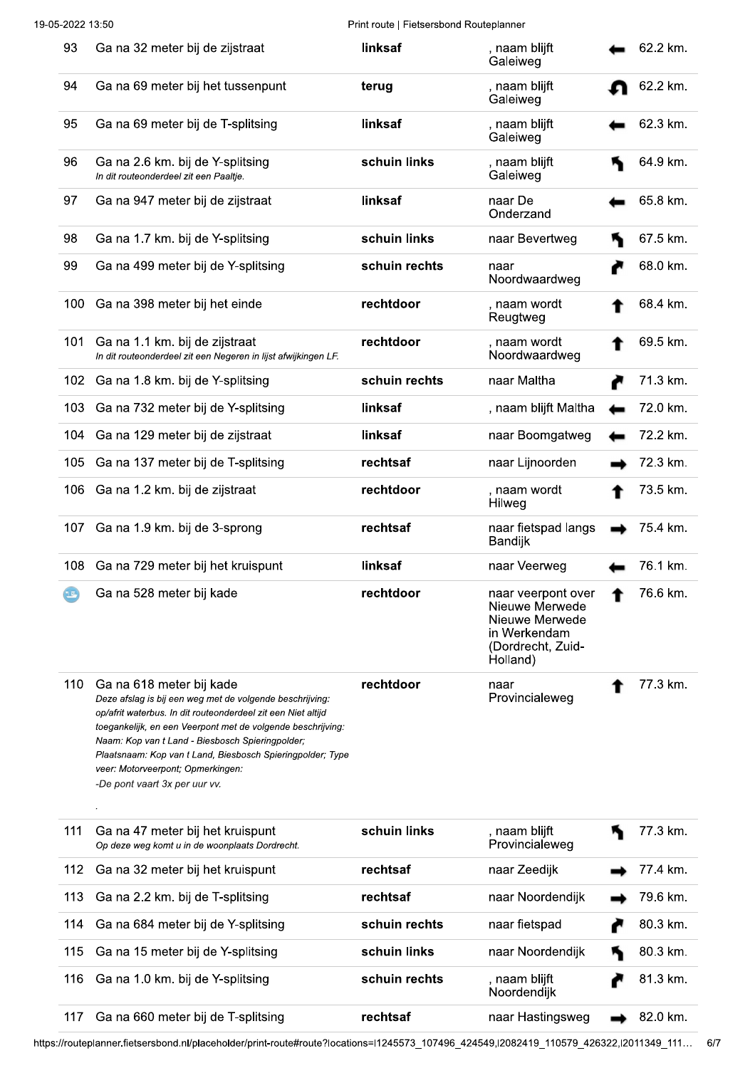| 93             | Ga na 32 meter bij de zijstraat                                                                                                                                                                                                                                                                                                                                                                             | linksaf       | , naam blijft<br>Galeiweg                                                                               | 62.2 km. |
|----------------|-------------------------------------------------------------------------------------------------------------------------------------------------------------------------------------------------------------------------------------------------------------------------------------------------------------------------------------------------------------------------------------------------------------|---------------|---------------------------------------------------------------------------------------------------------|----------|
| 94             | Ga na 69 meter bij het tussenpunt                                                                                                                                                                                                                                                                                                                                                                           | terug         | , naam blijft<br>Galeiweg                                                                               | 62.2 km. |
| 95             | Ga na 69 meter bij de T-splitsing                                                                                                                                                                                                                                                                                                                                                                           | linksaf       | , naam blijft<br>Galeiweg                                                                               | 62.3 km. |
| 96             | Ga na 2.6 km. bij de Y-splitsing<br>In dit routeonderdeel zit een Paaltje.                                                                                                                                                                                                                                                                                                                                  | schuin links  | , naam blijft<br>Galeiweg                                                                               | 64.9 km. |
| 97             | Ga na 947 meter bij de zijstraat                                                                                                                                                                                                                                                                                                                                                                            | linksaf       | naar De<br>Onderzand                                                                                    | 65.8 km. |
| 98             | Ga na 1.7 km. bij de Y-splitsing                                                                                                                                                                                                                                                                                                                                                                            | schuin links  | naar Bevertweg                                                                                          | 67.5 km. |
| 99             | Ga na 499 meter bij de Y-splitsing                                                                                                                                                                                                                                                                                                                                                                          | schuin rechts | naar<br>Noordwaardweg                                                                                   | 68.0 km. |
| 100            | Ga na 398 meter bij het einde                                                                                                                                                                                                                                                                                                                                                                               | rechtdoor     | , naam wordt<br>Reugtweg                                                                                | 68.4 km. |
| 101            | Ga na 1.1 km. bij de zijstraat<br>In dit routeonderdeel zit een Negeren in lijst afwijkingen LF.                                                                                                                                                                                                                                                                                                            | rechtdoor     | , naam wordt<br>Noordwaardweg                                                                           | 69.5 km. |
| 102            | Ga na 1.8 km. bij de Y-splitsing                                                                                                                                                                                                                                                                                                                                                                            | schuin rechts | naar Maltha                                                                                             | 71.3 km. |
| 103            | Ga na 732 meter bij de Y-splitsing                                                                                                                                                                                                                                                                                                                                                                          | linksaf       | , naam blijft Maltha                                                                                    | 72.0 km. |
| 104            | Ga na 129 meter bij de zijstraat                                                                                                                                                                                                                                                                                                                                                                            | linksaf       | naar Boomgatweg                                                                                         | 72.2 km. |
| 105            | Ga na 137 meter bij de T-splitsing                                                                                                                                                                                                                                                                                                                                                                          | rechtsaf      | naar Lijnoorden                                                                                         | 72.3 km. |
| 106            | Ga na 1.2 km. bij de zijstraat                                                                                                                                                                                                                                                                                                                                                                              | rechtdoor     | , naam wordt<br>Hilweg                                                                                  | 73.5 km. |
| 107            | Ga na 1.9 km. bij de 3-sprong                                                                                                                                                                                                                                                                                                                                                                               | rechtsaf      | naar fietspad langs                                                                                     | 75.4 km. |
|                |                                                                                                                                                                                                                                                                                                                                                                                                             |               | Bandijk                                                                                                 |          |
| 108            | Ga na 729 meter bij het kruispunt                                                                                                                                                                                                                                                                                                                                                                           | linksaf       | naar Veerweg                                                                                            | 76.1 km. |
| $(\mathbb{F})$ | Ga na 528 meter bij kade                                                                                                                                                                                                                                                                                                                                                                                    | rechtdoor     | naar veerpont over<br>Nieuwe Merwede<br>Nieuwe Merwede<br>in Werkendam<br>(Dordrecht, Zuid-<br>Holland) | 76.6 km. |
| 110            | Ga na 618 meter bij kade<br>Deze afslag is bij een weg met de volgende beschrijving:<br>op/afrit waterbus. In dit routeonderdeel zit een Niet altijd<br>toegankelijk, en een Veerpont met de volgende beschrijving:<br>Naam: Kop van t Land - Biesbosch Spieringpolder;<br>Plaatsnaam: Kop van t Land, Biesbosch Spieringpolder; Type<br>veer: Motorveerpont; Opmerkingen:<br>-De pont vaart 3x per uur vv. | rechtdoor     | naar<br>Provincialeweg                                                                                  | 77.3 km. |
| 111            | Ga na 47 meter bij het kruispunt<br>Op deze weg komt u in de woonplaats Dordrecht.                                                                                                                                                                                                                                                                                                                          | schuin links  | , naam blijft<br>Provincialeweg                                                                         | 77.3 km. |
| 112            | Ga na 32 meter bij het kruispunt                                                                                                                                                                                                                                                                                                                                                                            | rechtsaf      | naar Zeedijk                                                                                            | 77.4 km. |
| 113            | Ga na 2.2 km. bij de T-splitsing                                                                                                                                                                                                                                                                                                                                                                            | rechtsaf      | naar Noordendijk                                                                                        | 79.6 km. |
| 114            | Ga na 684 meter bij de Y-splitsing                                                                                                                                                                                                                                                                                                                                                                          | schuin rechts | naar fietspad                                                                                           | 80.3 km. |
| 115            | Ga na 15 meter bij de Y-splitsing                                                                                                                                                                                                                                                                                                                                                                           | schuin links  | naar Noordendijk                                                                                        | 80.3 km. |

rechtsaf

naar Hastingsweg  $\rightarrow$  82.0 km.

117 Ga na 660 meter bij de T-splitsing